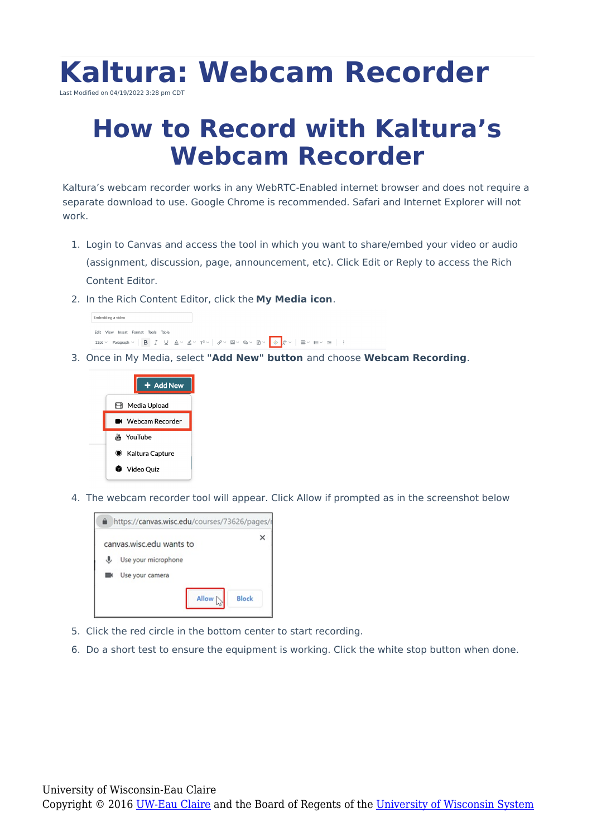

## **How to Record with Kaltura's Webcam Recorder**

Kaltura's webcam recorder works in any WebRTC-Enabled internet browser and does not require a separate download to use. Google Chrome is recommended. Safari and Internet Explorer will not work.

- 1. Login to Canvas and access the tool in which you want to share/embed your video or audio (assignment, discussion, page, announcement, etc). Click Edit or Reply to access the Rich Content Editor.
- 2. In the Rich Content Editor, click the **My Media icon**.



3. Once in My Media, select **"Add New" button** and choose **Webcam Recording**.



4. The webcam recorder tool will appear. Click Allow if prompted as in the screenshot below



- 5. Click the red circle in the bottom center to start recording.
- 6. Do a short test to ensure the equipment is working. Click the white stop button when done.